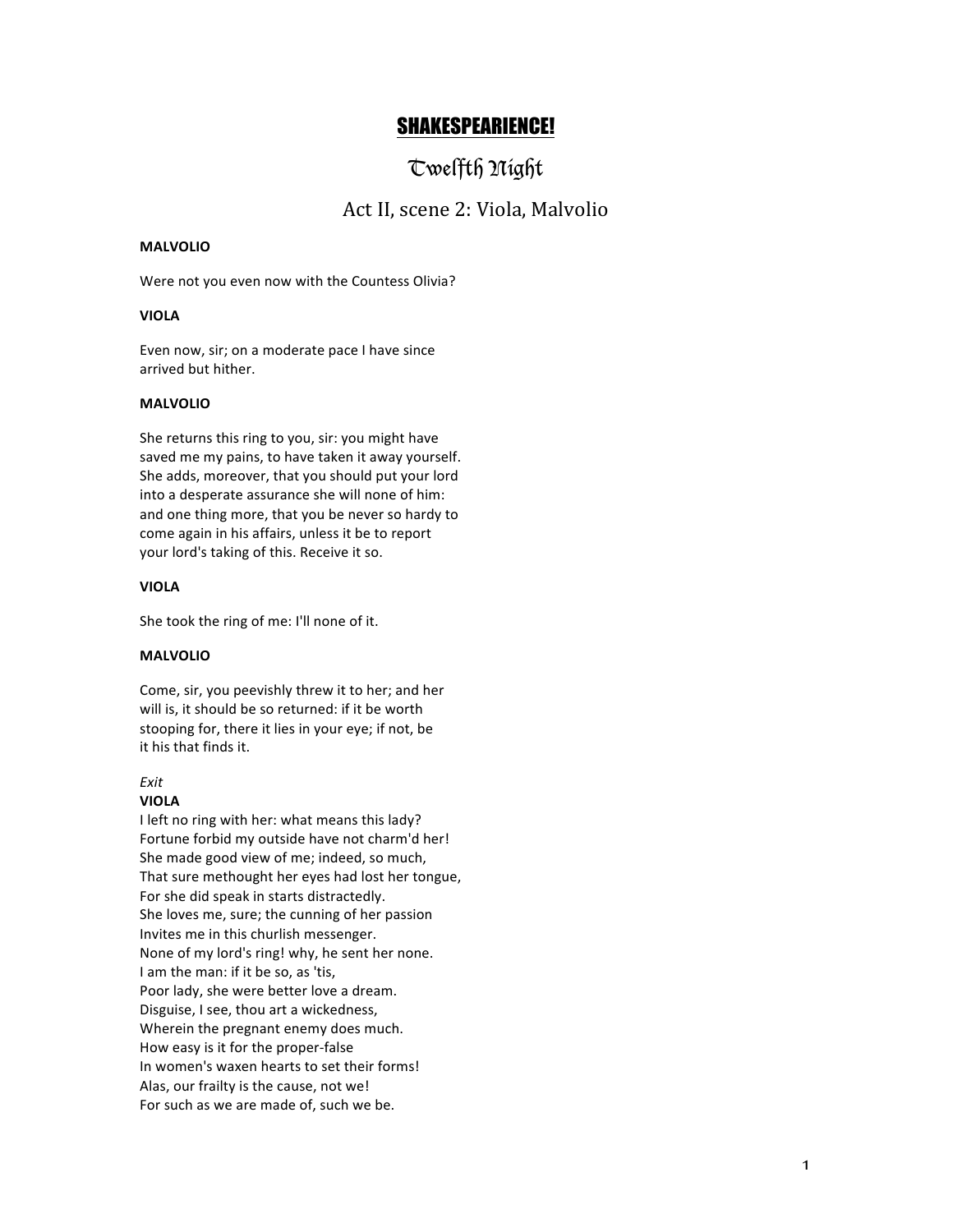# SHAKESPEARIENCE!

# Twelfth Night

# Act II, scene 2: Viola, Malvolio

# **MALVOLIO**

Were not you even now with the Countess Olivia?

## **VIOLA**

Even now, sir; on a moderate pace I have since arrived but hither.

## **MALVOLIO**

She returns this ring to you, sir: you might have saved me my pains, to have taken it away yourself. She adds, moreover, that you should put your lord into a desperate assurance she will none of him: and one thing more, that you be never so hardy to come again in his affairs, unless it be to report your lord's taking of this. Receive it so.

#### **VIOLA**

She took the ring of me: I'll none of it.

#### **MALVOLIO**

Come, sir, you peevishly threw it to her; and her will is, it should be so returned: if it be worth stooping for, there it lies in your eye; if not, be it his that finds it.

#### *Exit*

### **VIOLA**

I left no ring with her: what means this lady? Fortune forbid my outside have not charm'd her! She made good view of me: indeed, so much. That sure methought her eyes had lost her tongue, For she did speak in starts distractedly. She loves me, sure; the cunning of her passion Invites me in this churlish messenger. None of my lord's ring! why, he sent her none. I am the man: if it be so, as 'tis, Poor lady, she were better love a dream. Disguise, I see, thou art a wickedness, Wherein the pregnant enemy does much. How easy is it for the proper-false In women's waxen hearts to set their forms! Alas, our frailty is the cause, not we! For such as we are made of, such we be.